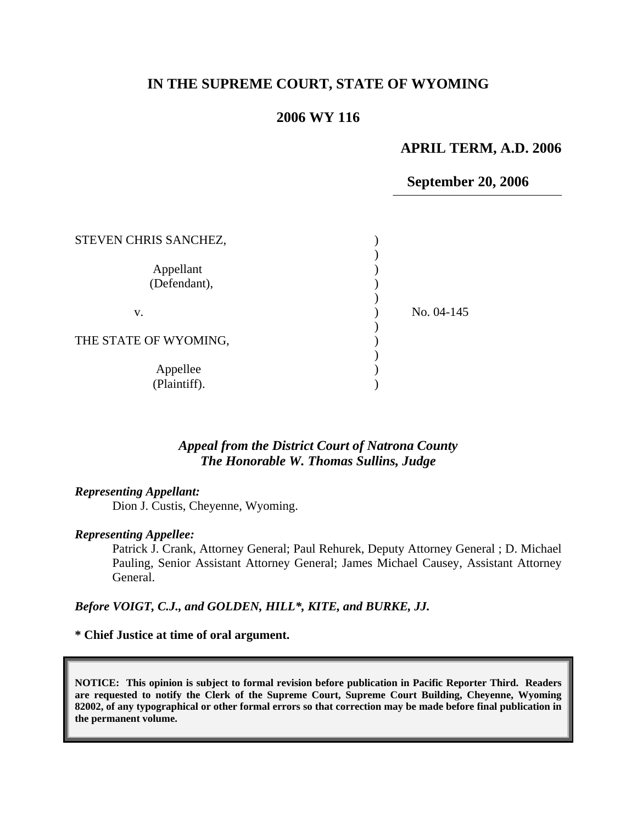## **IN THE SUPREME COURT, STATE OF WYOMING**

## **2006 WY 116**

### **APRIL TERM, A.D. 2006**

### **September 20, 2006**

| STEVEN CHRIS SANCHEZ,     |            |
|---------------------------|------------|
| Appellant<br>(Defendant), |            |
| v.                        | No. 04-145 |
| THE STATE OF WYOMING,     |            |
| Appellee<br>(Plaintiff).  |            |

### *Appeal from the District Court of Natrona County The Honorable W. Thomas Sullins, Judge*

#### *Representing Appellant:*

Dion J. Custis, Cheyenne, Wyoming.

#### *Representing Appellee:*

Patrick J. Crank, Attorney General; Paul Rehurek, Deputy Attorney General ; D. Michael Pauling, Senior Assistant Attorney General; James Michael Causey, Assistant Attorney General.

#### *Before VOIGT, C.J., and GOLDEN, HILL\*, KITE, and BURKE, JJ.*

### **\* Chief Justice at time of oral argument.**

**NOTICE: This opinion is subject to formal revision before publication in Pacific Reporter Third. Readers are requested to notify the Clerk of the Supreme Court, Supreme Court Building, Cheyenne, Wyoming 82002, of any typographical or other formal errors so that correction may be made before final publication in the permanent volume.**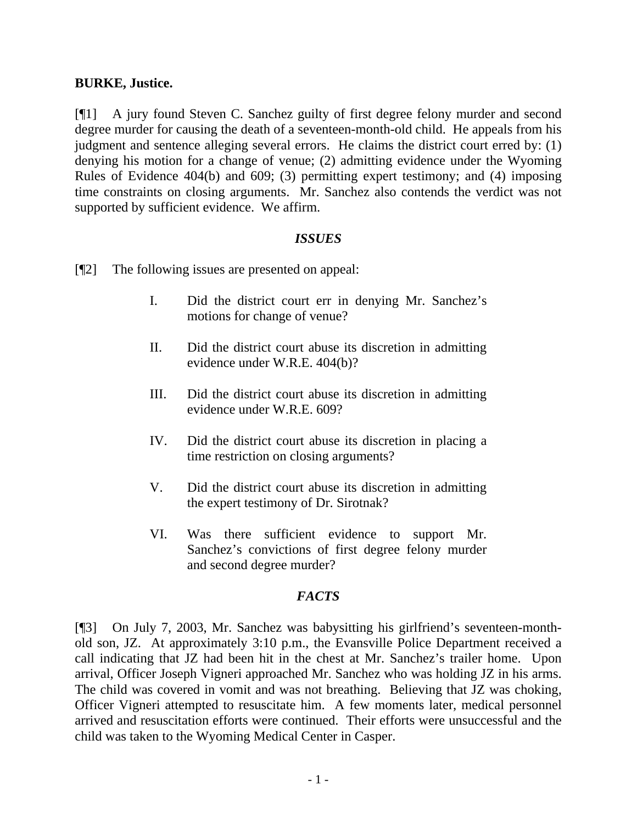## **BURKE, Justice.**

[¶1] A jury found Steven C. Sanchez guilty of first degree felony murder and second degree murder for causing the death of a seventeen-month-old child. He appeals from his judgment and sentence alleging several errors. He claims the district court erred by: (1) denying his motion for a change of venue; (2) admitting evidence under the Wyoming Rules of Evidence 404(b) and 609; (3) permitting expert testimony; and (4) imposing time constraints on closing arguments. Mr. Sanchez also contends the verdict was not supported by sufficient evidence. We affirm.

## *ISSUES*

- [¶2] The following issues are presented on appeal:
	- I. Did the district court err in denying Mr. Sanchez's motions for change of venue?
	- II. Did the district court abuse its discretion in admitting evidence under W.R.E. 404(b)?
	- III. Did the district court abuse its discretion in admitting evidence under W.R.E. 609?
	- IV. Did the district court abuse its discretion in placing a time restriction on closing arguments?
	- V. Did the district court abuse its discretion in admitting the expert testimony of Dr. Sirotnak?
	- VI. Was there sufficient evidence to support Mr. Sanchez's convictions of first degree felony murder and second degree murder?

## *FACTS*

[¶3] On July 7, 2003, Mr. Sanchez was babysitting his girlfriend's seventeen-monthold son, JZ. At approximately 3:10 p.m., the Evansville Police Department received a call indicating that JZ had been hit in the chest at Mr. Sanchez's trailer home. Upon arrival, Officer Joseph Vigneri approached Mr. Sanchez who was holding JZ in his arms. The child was covered in vomit and was not breathing. Believing that JZ was choking, Officer Vigneri attempted to resuscitate him. A few moments later, medical personnel arrived and resuscitation efforts were continued. Their efforts were unsuccessful and the child was taken to the Wyoming Medical Center in Casper.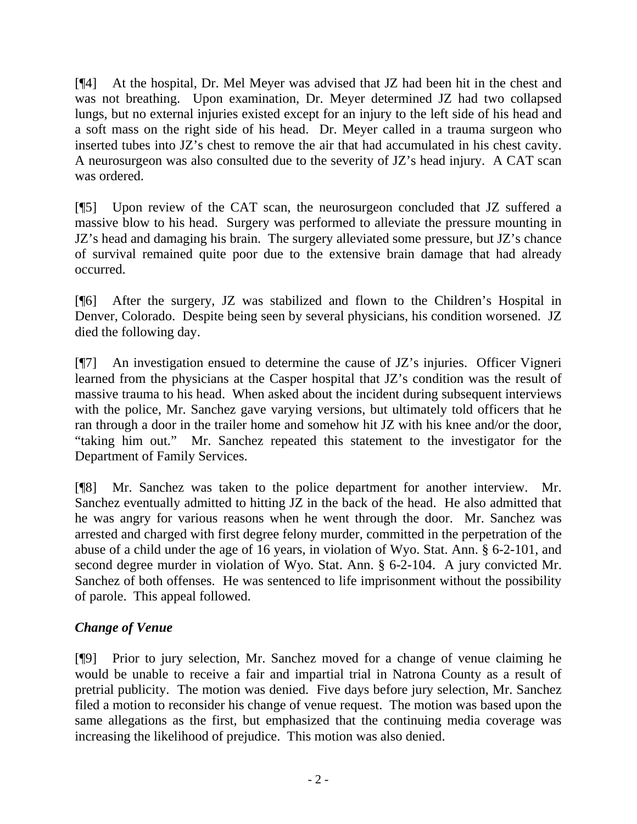[¶4] At the hospital, Dr. Mel Meyer was advised that JZ had been hit in the chest and was not breathing. Upon examination, Dr. Meyer determined JZ had two collapsed lungs, but no external injuries existed except for an injury to the left side of his head and a soft mass on the right side of his head. Dr. Meyer called in a trauma surgeon who inserted tubes into JZ's chest to remove the air that had accumulated in his chest cavity. A neurosurgeon was also consulted due to the severity of JZ's head injury. A CAT scan was ordered.

[¶5] Upon review of the CAT scan, the neurosurgeon concluded that JZ suffered a massive blow to his head. Surgery was performed to alleviate the pressure mounting in JZ's head and damaging his brain. The surgery alleviated some pressure, but JZ's chance of survival remained quite poor due to the extensive brain damage that had already occurred.

[¶6] After the surgery, JZ was stabilized and flown to the Children's Hospital in Denver, Colorado. Despite being seen by several physicians, his condition worsened. JZ died the following day.

[¶7] An investigation ensued to determine the cause of JZ's injuries. Officer Vigneri learned from the physicians at the Casper hospital that JZ's condition was the result of massive trauma to his head. When asked about the incident during subsequent interviews with the police, Mr. Sanchez gave varying versions, but ultimately told officers that he ran through a door in the trailer home and somehow hit JZ with his knee and/or the door, "taking him out." Mr. Sanchez repeated this statement to the investigator for the Department of Family Services.

[¶8] Mr. Sanchez was taken to the police department for another interview. Mr. Sanchez eventually admitted to hitting JZ in the back of the head. He also admitted that he was angry for various reasons when he went through the door. Mr. Sanchez was arrested and charged with first degree felony murder, committed in the perpetration of the abuse of a child under the age of 16 years, in violation of Wyo. Stat. Ann. § 6-2-101, and second degree murder in violation of Wyo. Stat. Ann. § 6-2-104. A jury convicted Mr. Sanchez of both offenses. He was sentenced to life imprisonment without the possibility of parole. This appeal followed.

# *Change of Venue*

[¶9] Prior to jury selection, Mr. Sanchez moved for a change of venue claiming he would be unable to receive a fair and impartial trial in Natrona County as a result of pretrial publicity. The motion was denied. Five days before jury selection, Mr. Sanchez filed a motion to reconsider his change of venue request. The motion was based upon the same allegations as the first, but emphasized that the continuing media coverage was increasing the likelihood of prejudice. This motion was also denied.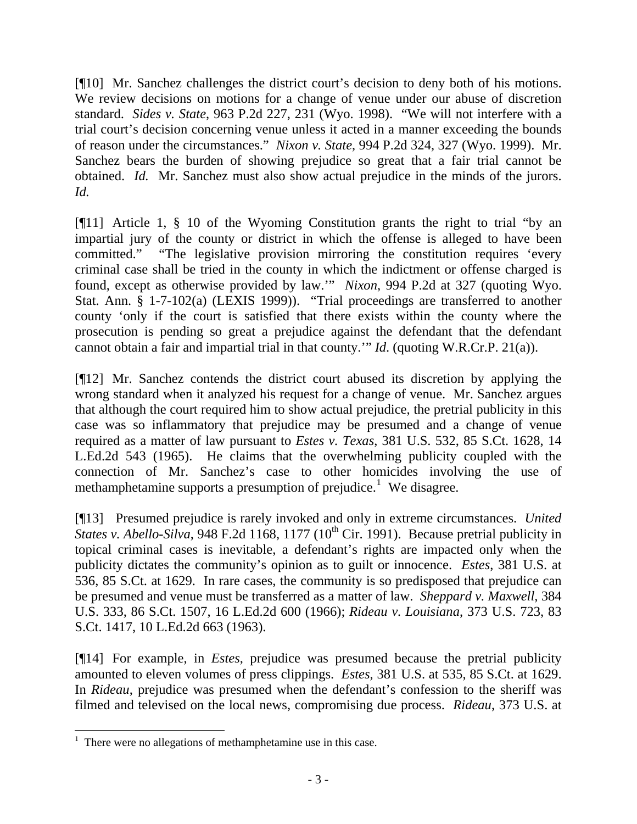[¶10] Mr. Sanchez challenges the district court's decision to deny both of his motions. We review decisions on motions for a change of venue under our abuse of discretion standard. *Sides v. State*, 963 P.2d 227, 231 (Wyo. 1998). "We will not interfere with a trial court's decision concerning venue unless it acted in a manner exceeding the bounds of reason under the circumstances." *Nixon v. State*, 994 P.2d 324, 327 (Wyo. 1999). Mr. Sanchez bears the burden of showing prejudice so great that a fair trial cannot be obtained. *Id.* Mr. Sanchez must also show actual prejudice in the minds of the jurors. *Id.* 

[¶11] Article 1, § 10 of the Wyoming Constitution grants the right to trial "by an impartial jury of the county or district in which the offense is alleged to have been committed." "The legislative provision mirroring the constitution requires 'every criminal case shall be tried in the county in which the indictment or offense charged is found, except as otherwise provided by law.'" *Nixon*, 994 P.2d at 327 (quoting Wyo. Stat. Ann. § 1-7-102(a) (LEXIS 1999)). "Trial proceedings are transferred to another county 'only if the court is satisfied that there exists within the county where the prosecution is pending so great a prejudice against the defendant that the defendant cannot obtain a fair and impartial trial in that county.'" *Id*. (quoting W.R.Cr.P. 21(a)).

[¶12] Mr. Sanchez contends the district court abused its discretion by applying the wrong standard when it analyzed his request for a change of venue. Mr. Sanchez argues that although the court required him to show actual prejudice, the pretrial publicity in this case was so inflammatory that prejudice may be presumed and a change of venue required as a matter of law pursuant to *Estes v. Texas*, 381 U.S. 532, 85 S.Ct. 1628, 14 L.Ed.2d 543 (1965). He claims that the overwhelming publicity coupled with the connection of Mr. Sanchez's case to other homicides involving the use of methamphetamine supports a presumption of prejudice.<sup>[1](#page-3-0)</sup> We disagree.

[¶13] Presumed prejudice is rarely invoked and only in extreme circumstances. *United States v. Abello-Silva*, 948 F.2d 1168, 1177  $(10<sup>th</sup> Cir. 1991)$ . Because pretrial publicity in topical criminal cases is inevitable, a defendant's rights are impacted only when the publicity dictates the community's opinion as to guilt or innocence. *Estes*, 381 U.S. at 536, 85 S.Ct. at 1629. In rare cases, the community is so predisposed that prejudice can be presumed and venue must be transferred as a matter of law. *Sheppard v. Maxwell,* 384 U.S. 333, 86 S.Ct. 1507, 16 L.Ed.2d 600 (1966); *Rideau v. Louisiana*, 373 U.S. 723, 83 S.Ct. 1417, 10 L.Ed.2d 663 (1963).

[¶14] For example, in *Estes*, prejudice was presumed because the pretrial publicity amounted to eleven volumes of press clippings. *Estes*, 381 U.S. at 535, 85 S.Ct. at 1629. In *Rideau*, prejudice was presumed when the defendant's confession to the sheriff was filmed and televised on the local news, compromising due process. *Rideau*, 373 U.S. at

 $\overline{a}$ 

<span id="page-3-0"></span><sup>&</sup>lt;sup>1</sup> There were no allegations of methamphetamine use in this case.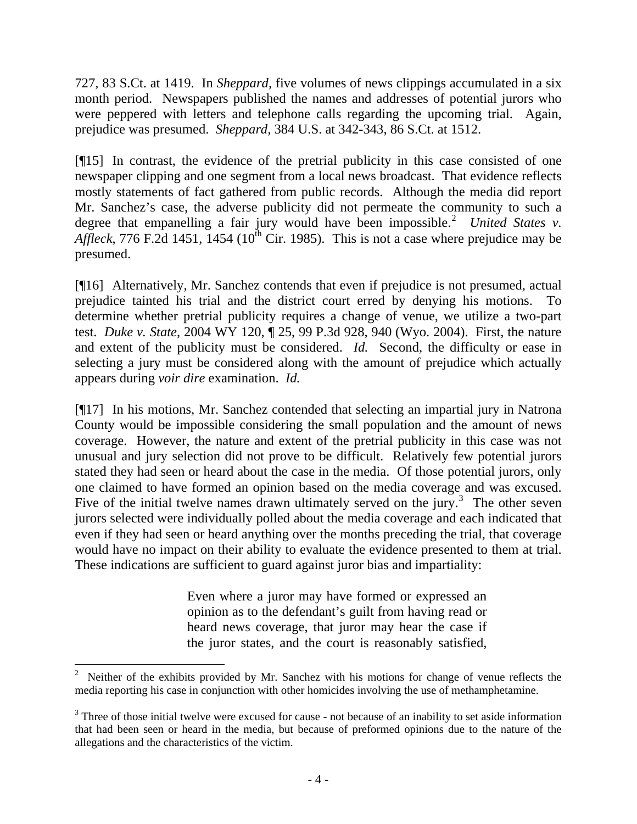727, 83 S.Ct. at 1419. In *Sheppard,* five volumes of news clippings accumulated in a six month period. Newspapers published the names and addresses of potential jurors who were peppered with letters and telephone calls regarding the upcoming trial. Again, prejudice was presumed. *Sheppard,* 384 U.S. at 342-343, 86 S.Ct. at 1512.

[¶15] In contrast, the evidence of the pretrial publicity in this case consisted of one newspaper clipping and one segment from a local news broadcast. That evidence reflects mostly statements of fact gathered from public records. Although the media did report Mr. Sanchez's case, the adverse publicity did not permeate the community to such a degree that empanelling a fair jury would have been impossible.<sup>[2](#page-4-0)</sup> United States v. *Affleck*, 776 F.2d 1451, 1454 (10<sup>th</sup> Cir. 1985). This is not a case where prejudice may be presumed.

[¶16] Alternatively, Mr. Sanchez contends that even if prejudice is not presumed, actual prejudice tainted his trial and the district court erred by denying his motions. To determine whether pretrial publicity requires a change of venue, we utilize a two-part test. *Duke v. State*, 2004 WY 120, ¶ 25, 99 P.3d 928, 940 (Wyo. 2004). First, the nature and extent of the publicity must be considered. *Id.* Second, the difficulty or ease in selecting a jury must be considered along with the amount of prejudice which actually appears during *voir dire* examination. *Id.*

[¶17] In his motions, Mr. Sanchez contended that selecting an impartial jury in Natrona County would be impossible considering the small population and the amount of news coverage. However, the nature and extent of the pretrial publicity in this case was not unusual and jury selection did not prove to be difficult. Relatively few potential jurors stated they had seen or heard about the case in the media. Of those potential jurors, only one claimed to have formed an opinion based on the media coverage and was excused. Five of the initial twelve names drawn ultimately served on the jury.<sup>[3](#page-4-1)</sup> The other seven jurors selected were individually polled about the media coverage and each indicated that even if they had seen or heard anything over the months preceding the trial, that coverage would have no impact on their ability to evaluate the evidence presented to them at trial. These indications are sufficient to guard against juror bias and impartiality:

> Even where a juror may have formed or expressed an opinion as to the defendant's guilt from having read or heard news coverage, that juror may hear the case if the juror states, and the court is reasonably satisfied,

<span id="page-4-0"></span> $\overline{a}$ <sup>2</sup> Neither of the exhibits provided by Mr. Sanchez with his motions for change of venue reflects the media reporting his case in conjunction with other homicides involving the use of methamphetamine.

<span id="page-4-1"></span><sup>&</sup>lt;sup>3</sup> Three of those initial twelve were excused for cause - not because of an inability to set aside information that had been seen or heard in the media, but because of preformed opinions due to the nature of the allegations and the characteristics of the victim.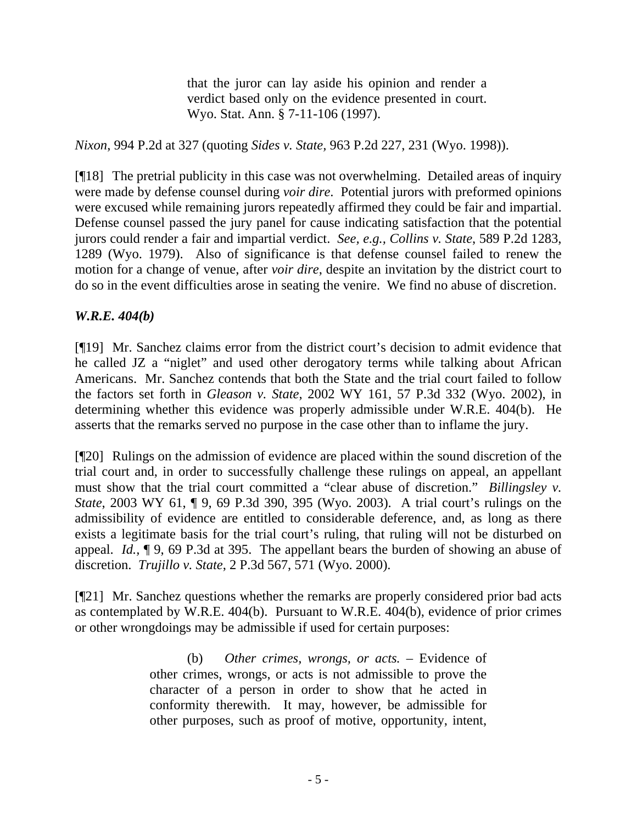that the juror can lay aside his opinion and render a verdict based only on the evidence presented in court. Wyo. Stat. Ann. § 7-11-106 (1997).

*Nixon*, 994 P.2d at 327 (quoting *Sides v. State,* 963 P.2d 227, 231 (Wyo. 1998)).

[¶18] The pretrial publicity in this case was not overwhelming. Detailed areas of inquiry were made by defense counsel during *voir dire*. Potential jurors with preformed opinions were excused while remaining jurors repeatedly affirmed they could be fair and impartial. Defense counsel passed the jury panel for cause indicating satisfaction that the potential jurors could render a fair and impartial verdict. *See, e.g., Collins v. State*, 589 P.2d 1283, 1289 (Wyo. 1979). Also of significance is that defense counsel failed to renew the motion for a change of venue, after *voir dire*, despite an invitation by the district court to do so in the event difficulties arose in seating the venire. We find no abuse of discretion.

## *W.R.E. 404(b)*

[¶19] Mr. Sanchez claims error from the district court's decision to admit evidence that he called JZ a "niglet" and used other derogatory terms while talking about African Americans. Mr. Sanchez contends that both the State and the trial court failed to follow the factors set forth in *Gleason v. State*, 2002 WY 161, 57 P.3d 332 (Wyo. 2002), in determining whether this evidence was properly admissible under W.R.E. 404(b). He asserts that the remarks served no purpose in the case other than to inflame the jury.

[¶20] Rulings on the admission of evidence are placed within the sound discretion of the trial court and, in order to successfully challenge these rulings on appeal, an appellant must show that the trial court committed a "clear abuse of discretion." *Billingsley v. State*, 2003 WY 61, ¶ 9, 69 P.3d 390, 395 (Wyo. 2003). A trial court's rulings on the admissibility of evidence are entitled to considerable deference, and, as long as there exists a legitimate basis for the trial court's ruling, that ruling will not be disturbed on appeal. *Id.,* ¶ 9, 69 P.3d at 395. The appellant bears the burden of showing an abuse of discretion. *Trujillo v. State*, 2 P.3d 567, 571 (Wyo. 2000).

[¶21] Mr. Sanchez questions whether the remarks are properly considered prior bad acts as contemplated by W.R.E. 404(b). Pursuant to W.R.E. 404(b), evidence of prior crimes or other wrongdoings may be admissible if used for certain purposes:

> (b) *Other crimes, wrongs, or acts.* – Evidence of other crimes, wrongs, or acts is not admissible to prove the character of a person in order to show that he acted in conformity therewith. It may, however, be admissible for other purposes, such as proof of motive, opportunity, intent,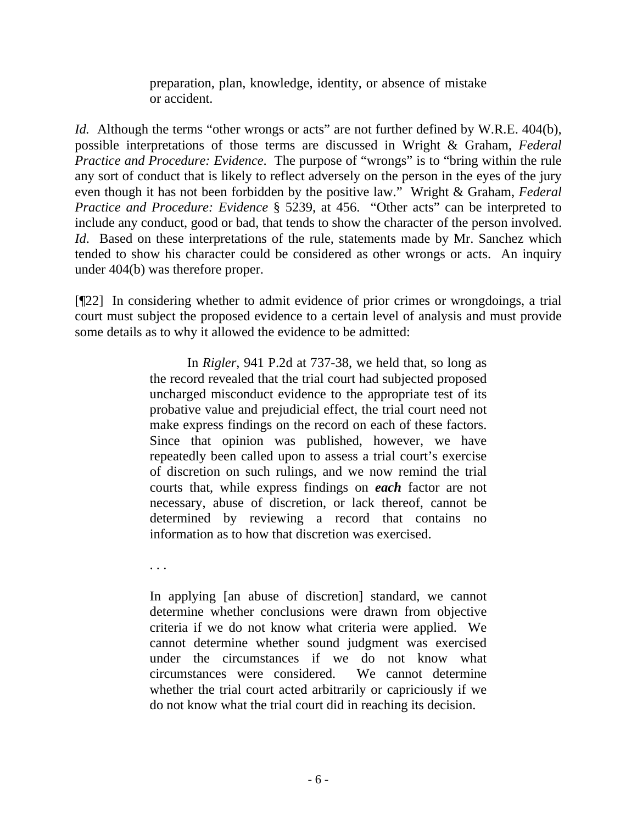preparation, plan, knowledge, identity, or absence of mistake or accident.

*Id.* Although the terms "other wrongs or acts" are not further defined by W.R.E. 404(b), possible interpretations of those terms are discussed in Wright & Graham, *Federal Practice and Procedure: Evidence*. The purpose of "wrongs" is to "bring within the rule any sort of conduct that is likely to reflect adversely on the person in the eyes of the jury even though it has not been forbidden by the positive law." Wright & Graham, *Federal Practice and Procedure: Evidence* § 5239, at 456. "Other acts" can be interpreted to include any conduct, good or bad, that tends to show the character of the person involved. *Id.* Based on these interpretations of the rule, statements made by Mr. Sanchez which tended to show his character could be considered as other wrongs or acts. An inquiry under 404(b) was therefore proper.

[¶22] In considering whether to admit evidence of prior crimes or wrongdoings, a trial court must subject the proposed evidence to a certain level of analysis and must provide some details as to why it allowed the evidence to be admitted:

> In *Rigler*, 941 P.2d at 737-38, we held that, so long as the record revealed that the trial court had subjected proposed uncharged misconduct evidence to the appropriate test of its probative value and prejudicial effect, the trial court need not make express findings on the record on each of these factors. Since that opinion was published, however, we have repeatedly been called upon to assess a trial court's exercise of discretion on such rulings, and we now remind the trial courts that, while express findings on *each* factor are not necessary, abuse of discretion, or lack thereof, cannot be determined by reviewing a record that contains no information as to how that discretion was exercised.

. . .

In applying [an abuse of discretion] standard, we cannot determine whether conclusions were drawn from objective criteria if we do not know what criteria were applied. We cannot determine whether sound judgment was exercised under the circumstances if we do not know what circumstances were considered. We cannot determine whether the trial court acted arbitrarily or capriciously if we do not know what the trial court did in reaching its decision.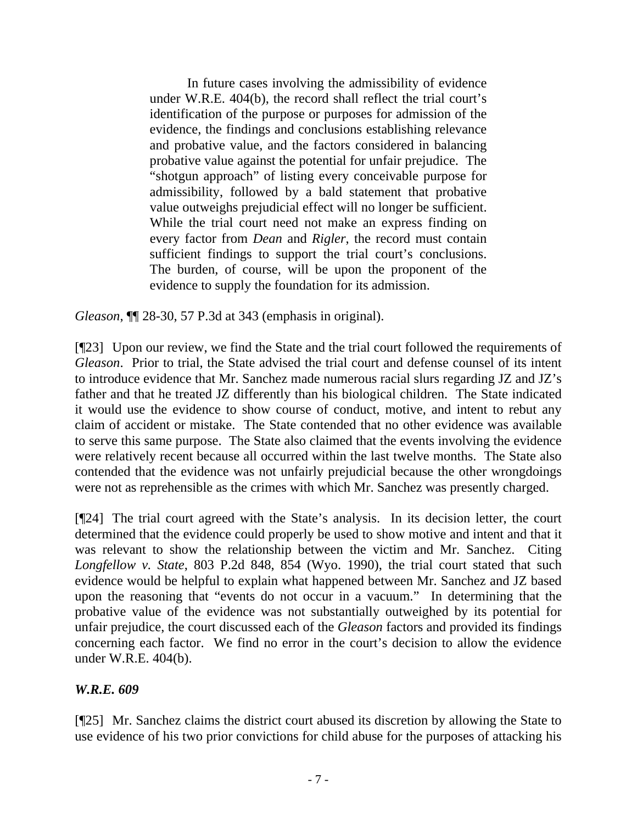In future cases involving the admissibility of evidence under W.R.E. 404(b), the record shall reflect the trial court's identification of the purpose or purposes for admission of the evidence, the findings and conclusions establishing relevance and probative value, and the factors considered in balancing probative value against the potential for unfair prejudice. The "shotgun approach" of listing every conceivable purpose for admissibility, followed by a bald statement that probative value outweighs prejudicial effect will no longer be sufficient. While the trial court need not make an express finding on every factor from *Dean* and *Rigler*, the record must contain sufficient findings to support the trial court's conclusions. The burden, of course, will be upon the proponent of the evidence to supply the foundation for its admission.

*Gleason*, ¶¶ 28-30, 57 P.3d at 343 (emphasis in original).

[¶23] Upon our review, we find the State and the trial court followed the requirements of *Gleason*. Prior to trial, the State advised the trial court and defense counsel of its intent to introduce evidence that Mr. Sanchez made numerous racial slurs regarding JZ and JZ's father and that he treated JZ differently than his biological children. The State indicated it would use the evidence to show course of conduct, motive, and intent to rebut any claim of accident or mistake. The State contended that no other evidence was available to serve this same purpose. The State also claimed that the events involving the evidence were relatively recent because all occurred within the last twelve months. The State also contended that the evidence was not unfairly prejudicial because the other wrongdoings were not as reprehensible as the crimes with which Mr. Sanchez was presently charged.

[¶24] The trial court agreed with the State's analysis. In its decision letter, the court determined that the evidence could properly be used to show motive and intent and that it was relevant to show the relationship between the victim and Mr. Sanchez. Citing *Longfellow v. State*, 803 P.2d 848, 854 (Wyo. 1990), the trial court stated that such evidence would be helpful to explain what happened between Mr. Sanchez and JZ based upon the reasoning that "events do not occur in a vacuum." In determining that the probative value of the evidence was not substantially outweighed by its potential for unfair prejudice, the court discussed each of the *Gleason* factors and provided its findings concerning each factor. We find no error in the court's decision to allow the evidence under W.R.E. 404(b).

## *W.R.E. 609*

[¶25] Mr. Sanchez claims the district court abused its discretion by allowing the State to use evidence of his two prior convictions for child abuse for the purposes of attacking his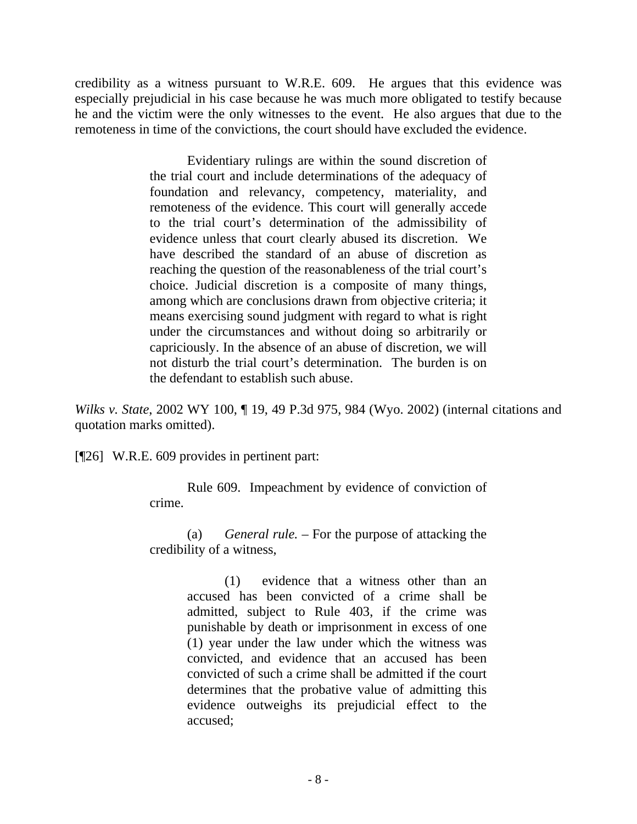credibility as a witness pursuant to W.R.E. 609. He argues that this evidence was especially prejudicial in his case because he was much more obligated to testify because he and the victim were the only witnesses to the event. He also argues that due to the remoteness in time of the convictions, the court should have excluded the evidence.

> Evidentiary rulings are within the sound discretion of the trial court and include determinations of the adequacy of foundation and relevancy, competency, materiality, and remoteness of the evidence. This court will generally accede to the trial court's determination of the admissibility of evidence unless that court clearly abused its discretion. We have described the standard of an abuse of discretion as reaching the question of the reasonableness of the trial court's choice. Judicial discretion is a composite of many things, among which are conclusions drawn from objective criteria; it means exercising sound judgment with regard to what is right under the circumstances and without doing so arbitrarily or capriciously. In the absence of an abuse of discretion, we will not disturb the trial court's determination. The burden is on the defendant to establish such abuse.

*Wilks v. State*[, 2002 WY 100, ¶ 19, 49 P.3d 975, 984 \(Wyo. 2002\)](http://www.lexis.com/research/xlink?app=00075&view=full&searchtype=get&search=2002+WY+100%2C+P19) (internal citations and quotation marks omitted).

[¶26] W.R.E. 609 provides in pertinent part:

 Rule 609. Impeachment by evidence of conviction of crime.

(a) *General rule. –* For the purpose of attacking the credibility of a witness,

> (1) evidence that a witness other than an accused has been convicted of a crime shall be admitted, subject to Rule 403, if the crime was punishable by death or imprisonment in excess of one (1) year under the law under which the witness was convicted, and evidence that an accused has been convicted of such a crime shall be admitted if the court determines that the probative value of admitting this evidence outweighs its prejudicial effect to the accused;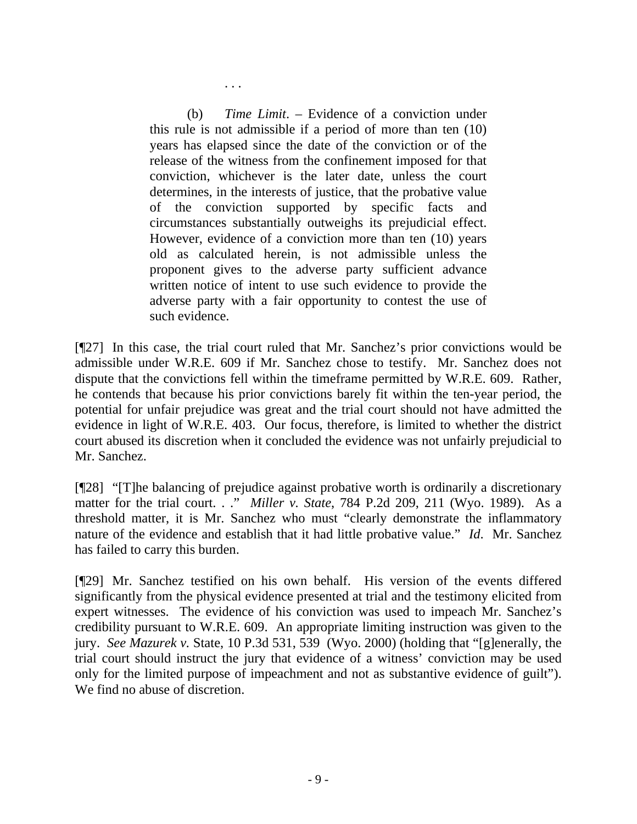(b) *Time Limit*. – Evidence of a conviction under this rule is not admissible if a period of more than ten (10) years has elapsed since the date of the conviction or of the release of the witness from the confinement imposed for that conviction, whichever is the later date, unless the court determines, in the interests of justice, that the probative value of the conviction supported by specific facts and circumstances substantially outweighs its prejudicial effect. However, evidence of a conviction more than ten (10) years old as calculated herein, is not admissible unless the proponent gives to the adverse party sufficient advance written notice of intent to use such evidence to provide the adverse party with a fair opportunity to contest the use of such evidence.

. . .

[¶27] In this case, the trial court ruled that Mr. Sanchez's prior convictions would be admissible under W.R.E. 609 if Mr. Sanchez chose to testify. Mr. Sanchez does not dispute that the convictions fell within the timeframe permitted by W.R.E. 609. Rather, he contends that because his prior convictions barely fit within the ten-year period, the potential for unfair prejudice was great and the trial court should not have admitted the evidence in light of W.R.E. 403. Our focus, therefore, is limited to whether the district court abused its discretion when it concluded the evidence was not unfairly prejudicial to Mr. Sanchez.

[¶28] "[T]he balancing of prejudice against probative worth is ordinarily a discretionary matter for the trial court. . ." *Miller v. State*[, 784 P.2d 209, 211 \(Wyo. 1989\).](http://www.lexis.com/research/xlink?app=00075&view=full&searchtype=get&search=784+P.2d+211) As a threshold matter, it is Mr. Sanchez who must "clearly demonstrate the inflammatory nature of the evidence and establish that it had little probative value." *Id*. Mr. Sanchez has failed to carry this burden.

[¶29] Mr. Sanchez testified on his own behalf. His version of the events differed significantly from the physical evidence presented at trial and the testimony elicited from expert witnesses. The evidence of his conviction was used to impeach Mr. Sanchez's credibility pursuant to W.R.E. 609. An appropriate limiting instruction was given to the jury. *See Mazurek v.* State, 10 P.3d 531, 539 (Wyo. 2000) (holding that "[g]enerally, the trial court should instruct the jury that evidence of a witness' conviction may be used only for the limited purpose of impeachment and not as substantive evidence of guilt"). We find no abuse of discretion.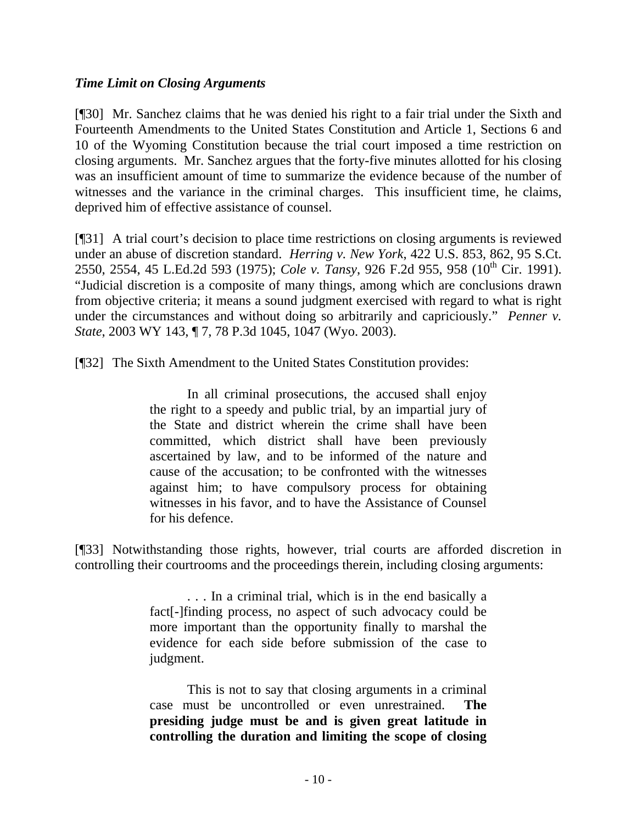## *Time Limit on Closing Arguments*

[¶30] Mr. Sanchez claims that he was denied his right to a fair trial under the Sixth and Fourteenth Amendments to the United States Constitution and Article 1, Sections 6 and 10 of the Wyoming Constitution because the trial court imposed a time restriction on closing arguments. Mr. Sanchez argues that the forty-five minutes allotted for his closing was an insufficient amount of time to summarize the evidence because of the number of witnesses and the variance in the criminal charges. This insufficient time, he claims, deprived him of effective assistance of counsel.

[¶31] A trial court's decision to place time restrictions on closing arguments is reviewed under an abuse of discretion standard. *Herring v. New York*, 422 U.S. 853, 862, 95 S.Ct. 2550, 2554, 45 L.Ed.2d 593 (1975); *Cole v. Tansy*, 926 F.2d 955, 958 (10<sup>th</sup> Cir. 1991). "Judicial discretion is a composite of many things, among which are conclusions drawn from objective criteria; it means a sound judgment exercised with regard to what is right under the circumstances and without doing so arbitrarily and capriciously." *Penner v. State*, 2003 WY 143, ¶ 7, 78 P.3d 1045, 1047 (Wyo. 2003).

[¶32] The Sixth Amendment to the United States Constitution provides:

In all criminal prosecutions, the accused shall enjoy the right to a speedy and public trial, by an impartial jury of the State and district wherein the crime shall have been committed, which district shall have been previously ascertained by law, and to be informed of the nature and cause of the accusation; to be confronted with the witnesses against him; to have compulsory process for obtaining witnesses in his favor, and to have the Assistance of Counsel for his defence.

[¶33] Notwithstanding those rights, however, trial courts are afforded discretion in controlling their courtrooms and the proceedings therein, including closing arguments:

> . . . In a criminal trial, which is in the end basically a fact[-]finding process, no aspect of such advocacy could be more important than the opportunity finally to marshal the evidence for each side before submission of the case to judgment.

> This is not to say that closing arguments in a criminal case must be uncontrolled or even unrestrained. **The presiding judge must be and is given great latitude in controlling the duration and limiting the scope of closing**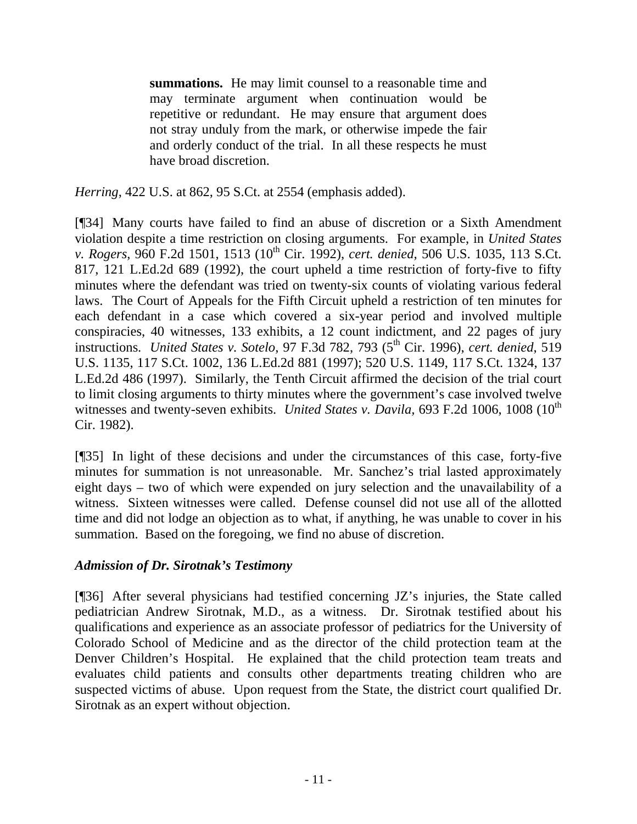**summations.** He may limit counsel to a reasonable time and may terminate argument when continuation would be repetitive or redundant. He may ensure that argument does not stray unduly from the mark, or otherwise impede the fair and orderly conduct of the trial. In all these respects he must have broad discretion.

*Herring*, 422 U.S. at 862, 95 S.Ct. at 2554 (emphasis added).

[¶34] Many courts have failed to find an abuse of discretion or a Sixth Amendment violation despite a time restriction on closing arguments. For example, in *United States v. Rogers*, 960 F.2d 1501, 1513 (10th Cir. 1992), *cert. denied*, 506 U.S. 1035, 113 S.Ct. 817, 121 L.Ed.2d 689 (1992), the court upheld a time restriction of forty-five to fifty minutes where the defendant was tried on twenty-six counts of violating various federal laws. The Court of Appeals for the Fifth Circuit upheld a restriction of ten minutes for each defendant in a case which covered a six-year period and involved multiple conspiracies, 40 witnesses, 133 exhibits, a 12 count indictment, and 22 pages of jury instructions. *United States v. Sotelo*, 97 F.3d 782, 793 (5<sup>th</sup> Cir. 1996), *cert. denied*, 519 U.S. 1135, 117 S.Ct. 1002, 136 L.Ed.2d 881 (1997); 520 U.S. 1149, 117 S.Ct. 1324, 137 L.Ed.2d 486 (1997). Similarly, the Tenth Circuit affirmed the decision of the trial court to limit closing arguments to thirty minutes where the government's case involved twelve witnesses and twenty-seven exhibits. *United States v. Davila*, 693 F.2d 1006, 1008 (10<sup>th</sup>) Cir. 1982).

[¶35] In light of these decisions and under the circumstances of this case, forty-five minutes for summation is not unreasonable. Mr. Sanchez's trial lasted approximately eight days – two of which were expended on jury selection and the unavailability of a witness. Sixteen witnesses were called. Defense counsel did not use all of the allotted time and did not lodge an objection as to what, if anything, he was unable to cover in his summation. Based on the foregoing, we find no abuse of discretion.

## *Admission of Dr. Sirotnak's Testimony*

[¶36] After several physicians had testified concerning JZ's injuries, the State called pediatrician Andrew Sirotnak, M.D., as a witness. Dr. Sirotnak testified about his qualifications and experience as an associate professor of pediatrics for the University of Colorado School of Medicine and as the director of the child protection team at the Denver Children's Hospital. He explained that the child protection team treats and evaluates child patients and consults other departments treating children who are suspected victims of abuse. Upon request from the State, the district court qualified Dr. Sirotnak as an expert without objection.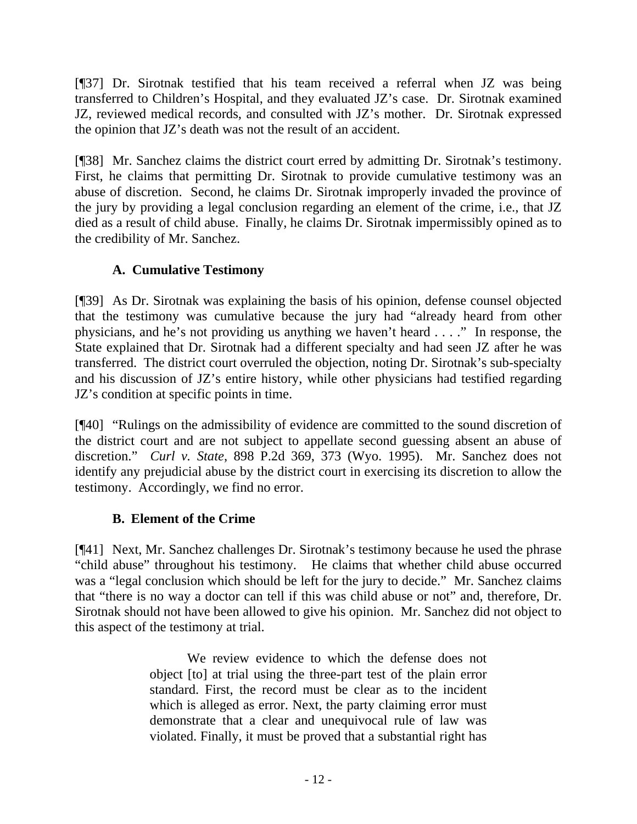[¶37] Dr. Sirotnak testified that his team received a referral when JZ was being transferred to Children's Hospital, and they evaluated JZ's case. Dr. Sirotnak examined JZ, reviewed medical records, and consulted with JZ's mother. Dr. Sirotnak expressed the opinion that JZ's death was not the result of an accident.

[¶38] Mr. Sanchez claims the district court erred by admitting Dr. Sirotnak's testimony. First, he claims that permitting Dr. Sirotnak to provide cumulative testimony was an abuse of discretion. Second, he claims Dr. Sirotnak improperly invaded the province of the jury by providing a legal conclusion regarding an element of the crime, i.e., that JZ died as a result of child abuse. Finally, he claims Dr. Sirotnak impermissibly opined as to the credibility of Mr. Sanchez.

# **A. Cumulative Testimony**

[¶39] As Dr. Sirotnak was explaining the basis of his opinion, defense counsel objected that the testimony was cumulative because the jury had "already heard from other physicians, and he's not providing us anything we haven't heard . . . ." In response, the State explained that Dr. Sirotnak had a different specialty and had seen JZ after he was transferred. The district court overruled the objection, noting Dr. Sirotnak's sub-specialty and his discussion of JZ's entire history, while other physicians had testified regarding JZ's condition at specific points in time.

[¶40] "Rulings on the admissibility of evidence are committed to the sound discretion of the district court and are not subject to appellate second guessing absent an abuse of discretion." *Curl v. State*, 898 P.2d 369, 373 (Wyo. 1995). Mr. Sanchez does not identify any prejudicial abuse by the district court in exercising its discretion to allow the testimony. Accordingly, we find no error.

# **B. Element of the Crime**

[¶41] Next, Mr. Sanchez challenges Dr. Sirotnak's testimony because he used the phrase "child abuse" throughout his testimony. He claims that whether child abuse occurred was a "legal conclusion which should be left for the jury to decide." Mr. Sanchez claims that "there is no way a doctor can tell if this was child abuse or not" and, therefore, Dr. Sirotnak should not have been allowed to give his opinion. Mr. Sanchez did not object to this aspect of the testimony at trial.

> We review evidence to which the defense does not object [to] at trial using the three-part test of the plain error standard. First, the record must be clear as to the incident which is alleged as error. Next, the party claiming error must demonstrate that a clear and unequivocal rule of law was violated. Finally, it must be proved that a substantial right has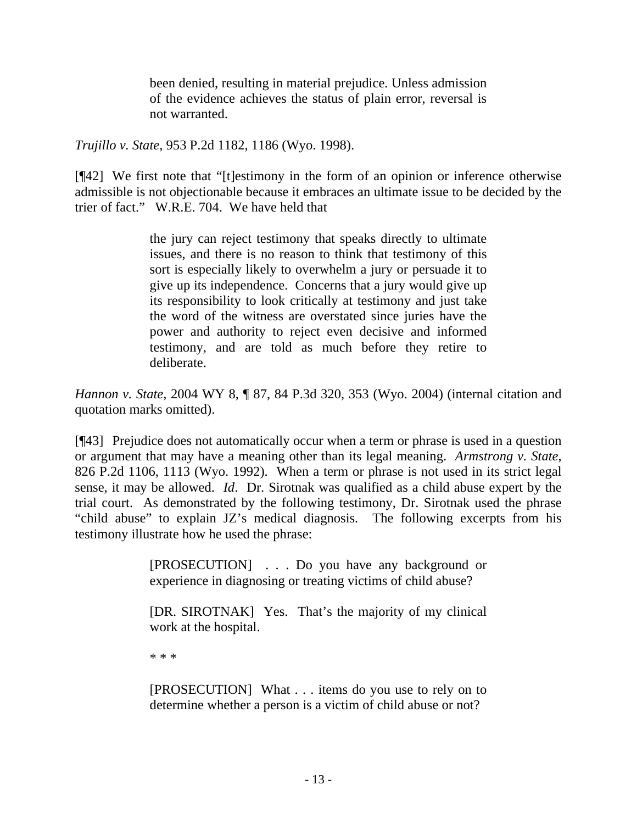been denied, resulting in material prejudice. Unless admission of the evidence achieves the status of plain error, reversal is not warranted.

*Trujillo v. State*[, 953 P.2d 1182, 1186 \(Wyo. 1998\)](http://www.lexis.com/research/xlink?app=00075&view=full&searchtype=get&search=953+P.2d+1186).

[¶42] We first note that "[t]estimony in the form of an opinion or inference otherwise admissible is not objectionable because it embraces an ultimate issue to be decided by the trier of fact." W.R.E. 704. We have held that

> the jury can reject testimony that speaks directly to ultimate issues, and there is no reason to think that testimony of this sort is especially likely to overwhelm a jury or persuade it to give up its independence. Concerns that a jury would give up its responsibility to look critically at testimony and just take the word of the witness are overstated since juries have the power and authority to reject even decisive and informed testimony, and are told as much before they retire to deliberate.

*Hannon v. State*, 2004 WY 8, ¶ 87, 84 P.3d 320, 353 (Wyo. 2004) (internal citation and quotation marks omitted).

[¶43] Prejudice does not automatically occur when a term or phrase is used in a question or argument that may have a meaning other than its legal meaning. *[Armstrong v. State](http://www.lexis.com/research/xlink?app=00075&view=full&searchtype=get&search=826+P.2d+1111)*, [826 P.2d 1106, 1113 \(Wyo. 1992\)](http://www.lexis.com/research/xlink?app=00075&view=full&searchtype=get&search=826+P.2d+1111). When a term or phrase is not used in its strict legal sense, it may be allowed. *Id*. Dr. Sirotnak was qualified as a child abuse expert by the trial court. As demonstrated by the following testimony, Dr. Sirotnak used the phrase "child abuse" to explain JZ's medical diagnosis. The following excerpts from his testimony illustrate how he used the phrase:

> [PROSECUTION] . . . Do you have any background or experience in diagnosing or treating victims of child abuse?

> [DR. SIROTNAK] Yes. That's the majority of my clinical work at the hospital.

\* \* \*

[PROSECUTION] What . . . items do you use to rely on to determine whether a person is a victim of child abuse or not?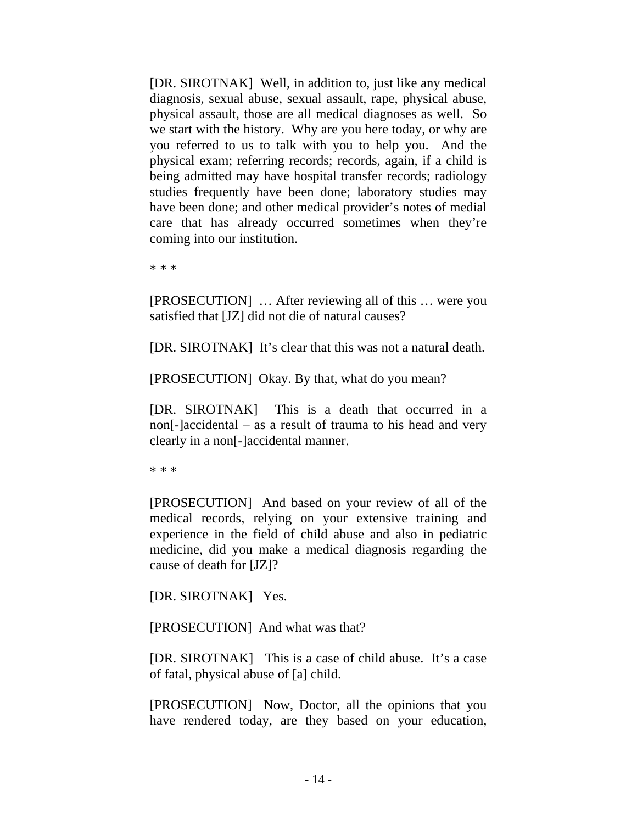[DR. SIROTNAK] Well, in addition to, just like any medical diagnosis, sexual abuse, sexual assault, rape, physical abuse, physical assault, those are all medical diagnoses as well. So we start with the history. Why are you here today, or why are you referred to us to talk with you to help you. And the physical exam; referring records; records, again, if a child is being admitted may have hospital transfer records; radiology studies frequently have been done; laboratory studies may have been done; and other medical provider's notes of medial care that has already occurred sometimes when they're coming into our institution.

\* \* \*

[PROSECUTION] … After reviewing all of this … were you satisfied that [JZ] did not die of natural causes?

[DR. SIROTNAK] It's clear that this was not a natural death.

[PROSECUTION] Okay. By that, what do you mean?

[DR. SIROTNAK] This is a death that occurred in a non[-]accidental – as a result of trauma to his head and very clearly in a non[-]accidental manner.

\* \* \*

[PROSECUTION] And based on your review of all of the medical records, relying on your extensive training and experience in the field of child abuse and also in pediatric medicine, did you make a medical diagnosis regarding the cause of death for [JZ]?

[DR. SIROTNAK] Yes.

[PROSECUTION] And what was that?

[DR. SIROTNAK] This is a case of child abuse. It's a case of fatal, physical abuse of [a] child.

[PROSECUTION] Now, Doctor, all the opinions that you have rendered today, are they based on your education,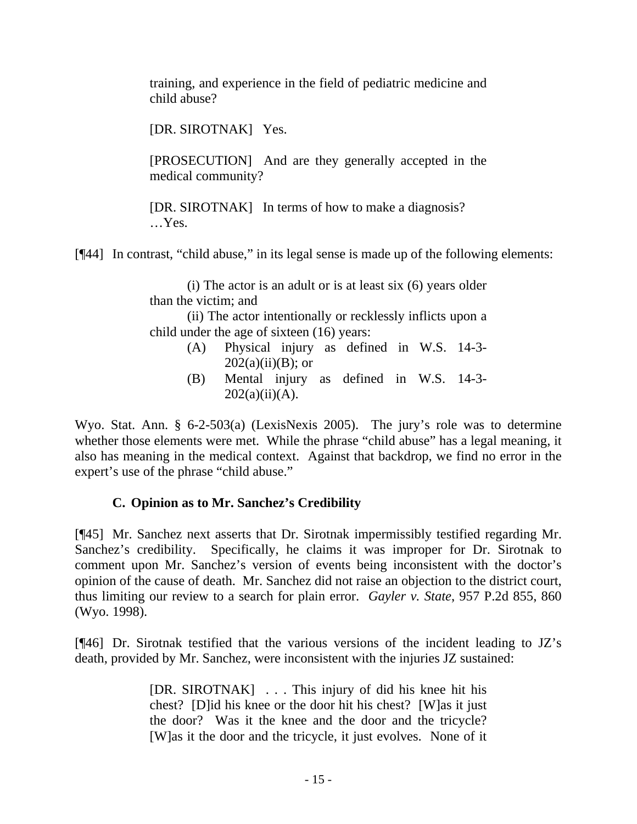training, and experience in the field of pediatric medicine and child abuse?

[DR. SIROTNAK] Yes.

[PROSECUTION] And are they generally accepted in the medical community?

[DR. SIROTNAK] In terms of how to make a diagnosis? …Yes.

[¶44] In contrast, "child abuse," in its legal sense is made up of the following elements:

(i) The actor is an adult or is at least six (6) years older than the victim; and

(ii) The actor intentionally or recklessly inflicts upon a child under the age of sixteen (16) years:

- (A) Physical injury as defined in W.S. 14-3-  $202(a)(ii)(B)$ ; or
- (B) Mental injury as defined in W.S. 14-3-  $202(a)(ii)(A)$ .

Wyo. Stat. Ann. § 6-2-503(a) (LexisNexis 2005). The jury's role was to determine whether those elements were met. While the phrase "child abuse" has a legal meaning, it also has meaning in the medical context. Against that backdrop, we find no error in the expert's use of the phrase "child abuse."

## **C. Opinion as to Mr. Sanchez's Credibility**

[¶45] Mr. Sanchez next asserts that Dr. Sirotnak impermissibly testified regarding Mr. Sanchez's credibility. Specifically, he claims it was improper for Dr. Sirotnak to comment upon Mr. Sanchez's version of events being inconsistent with the doctor's opinion of the cause of death. Mr. Sanchez did not raise an objection to the district court, thus limiting our review to a search for plain error. *Gayler v. State*, 957 P.2d 855, 860 (Wyo. 1998).

[¶46] Dr. Sirotnak testified that the various versions of the incident leading to JZ's death, provided by Mr. Sanchez, were inconsistent with the injuries JZ sustained:

> [DR. SIROTNAK] . . . This injury of did his knee hit his chest? [D]id his knee or the door hit his chest? [W]as it just the door? Was it the knee and the door and the tricycle? [W]as it the door and the tricycle, it just evolves. None of it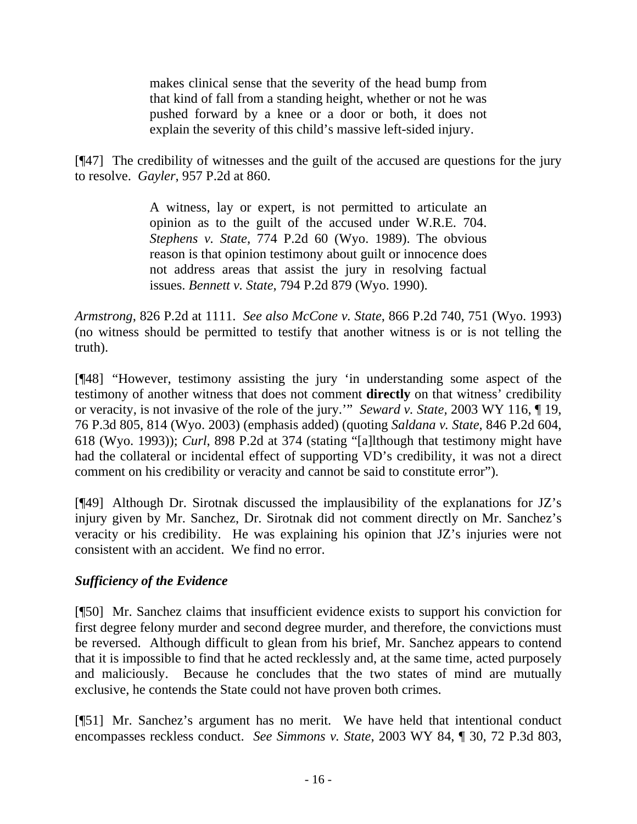makes clinical sense that the severity of the head bump from that kind of fall from a standing height, whether or not he was pushed forward by a knee or a door or both, it does not explain the severity of this child's massive left-sided injury.

[¶47] The credibility of witnesses and the guilt of the accused are questions for the jury to resolve. *Gayler*, 957 P.2d at 860.

> A witness, lay or expert, is not permitted to articulate an opinion as to the guilt of the accused under W.R.E. 704. *Stephens v. State*, 774 P.2d 60 (Wyo. 1989). The obvious reason is that opinion testimony about guilt or innocence does not address areas that assist the jury in resolving factual issues. *Bennett v. State*, 794 P.2d 879 (Wyo. 1990).

*Armstrong*[, 826 P.2d at 1111.](http://www.lexis.com/research/xlink?app=00075&view=full&searchtype=get&search=826+P.2d+1111) *See also McCone v. State*, 866 P.2d 740, 751 (Wyo. 1993) (no witness should be permitted to testify that another witness is or is not telling the truth).

[¶48] "However, testimony assisting the jury 'in understanding some aspect of the testimony of another witness that does not comment **directly** on that witness' credibility or veracity, is not invasive of the role of the jury.'" *Seward v. State,* 2003 WY 116, ¶ 19, 76 P.3d 805, 814 (Wyo. 2003) (emphasis added) (quoting *Saldana v. State*, 846 P.2d 604, 618 (Wyo. 1993)); *Curl*, 898 P.2d at 374 (stating "[a]lthough that testimony might have had the collateral or incidental effect of supporting VD's credibility, it was not a direct comment on his credibility or veracity and cannot be said to constitute error").

[¶49] Although Dr. Sirotnak discussed the implausibility of the explanations for JZ's injury given by Mr. Sanchez, Dr. Sirotnak did not comment directly on Mr. Sanchez's veracity or his credibility. He was explaining his opinion that JZ's injuries were not consistent with an accident. We find no error.

## *Sufficiency of the Evidence*

[¶50] Mr. Sanchez claims that insufficient evidence exists to support his conviction for first degree felony murder and second degree murder, and therefore, the convictions must be reversed. Although difficult to glean from his brief, Mr. Sanchez appears to contend that it is impossible to find that he acted recklessly and, at the same time, acted purposely and maliciously. Because he concludes that the two states of mind are mutually exclusive, he contends the State could not have proven both crimes.

[¶51] Mr. Sanchez's argument has no merit. We have held that intentional conduct encompasses reckless conduct. *See Simmons v. State*, 2003 WY 84, ¶ 30, 72 P.3d 803,